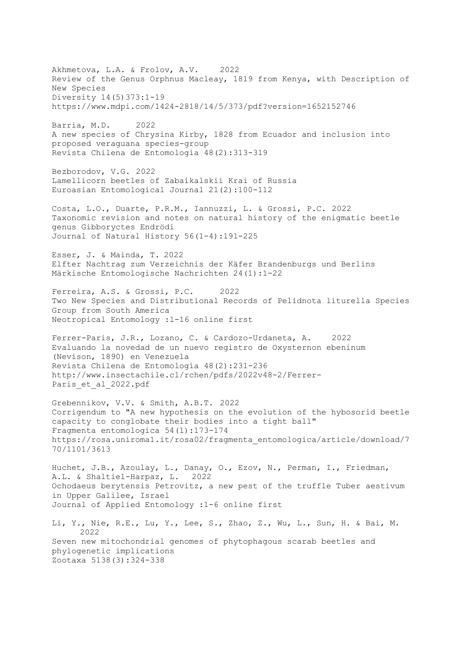Akhmetova, L.A. & Frolov, A.V. 2022 Review of the Genus Orphnus Macleay, 1819 from Kenya, with Description of New Species Diversity 14(5)373:1-19 https://www.mdpi.com/1424-2818/14/5/373/pdf?version=1652152746 Barria, M.D. 2022 A new species of Chrysina Kirby, 1828 from Ecuador and inclusion into proposed veraguana species-group Revista Chilena de Entomologia 48(2):313-319 Bezborodov, V.G. 2022 Lamellicorn beetles of Zabaikalskii Krai of Russia Euroasian Entomological Journal 21(2):100-112 Costa, L.O., Duarte, P.R.M., Iannuzzi, L. & Grossi, P.C. 2022 Taxonomic revision and notes on natural history of the enigmatic beetle genus Gibboryctes Endrödi Journal of Natural History 56(1-4):191-225 Esser, J. & Mainda, T. 2022 Elfter Nachtrag zum Verzeichnis der Käfer Brandenburgs und Berlins Märkische Entomologische Nachrichten 24(1):1-22 Ferreira, A.S. & Grossi, P.C. 2022 Two New Species and Distributional Records of Pelidnota liturella Species Group from South America Neotropical Entomology :1-16 online first Ferrer-Paris, J.R., Lozano, C. & Cardozo-Urdaneta, A. 2022 Evaluando la novedad de un nuevo registro de Oxysternon ebeninum (Nevison, 1890) en Venezuela Revista Chilena de Entomología 48(2):231-236 http://www.insectachile.cl/rchen/pdfs/2022v48-2/Ferrer-Paris et al 2022.pdf Grebennikov, V.V. & Smith, A.B.T. 2022 Corrigendum to "A new hypothesis on the evolution of the hybosorid beetle capacity to conglobate their bodies into a tight ball" Fragmenta entomologica 54(1):173-174 https://rosa.uniroma1.it/rosa02/fragmenta\_entomologica/article/download/7 70/1101/3613 Huchet, J.B., Azoulay, L., Danay, O., Ezov, N., Perman, I., Friedman, A.L. & Shaltiel-Harpaz, L. 2022 Ochodaeus berytensis Petrovitz, a new pest of the truffle Tuber aestivum in Upper Galilee, Israel Journal of Applied Entomology :1-6 online first Li, Y., Nie, R.E., Lu, Y., Lee, S., Zhao, Z., Wu, L., Sun, H. & Bai, M. 2022 Seven new mitochondrial genomes of phytophagous scarab beetles and phylogenetic implications Zootaxa 5138(3):324-338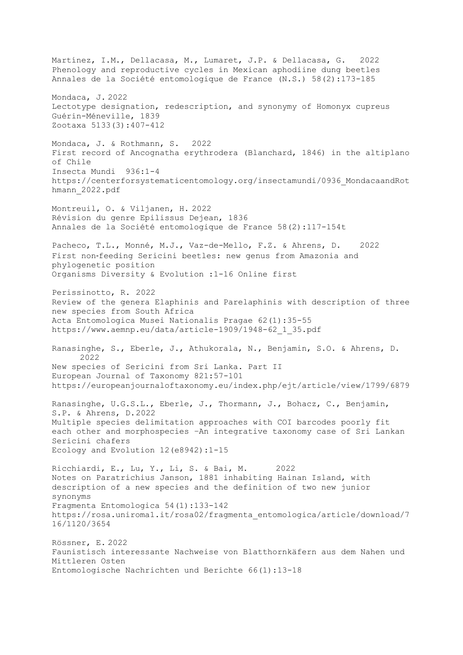Martínez, I.M., Dellacasa, M., Lumaret, J.P. & Dellacasa, G. 2022 Phenology and reproductive cycles in Mexican aphodiine dung beetles Annales de la Société entomologique de France (N.S.) 58(2):173-185 Mondaca, J. 2022 Lectotype designation, redescription, and synonymy of Homonyx cupreus Guérin-Méneville, 1839 Zootaxa 5133(3):407-412 Mondaca, J. & Rothmann, S. 2022 First record of Ancognatha erythrodera (Blanchard, 1846) in the altiplano of Chile Insecta Mundi 936:1-4 https://centerforsystematicentomology.org/insectamundi/0936\_MondacaandRot hmann\_2022.pdf Montreuil, O. & Viljanen, H. 2022 Révision du genre Epilissus Dejean, 1836 Annales de la Société entomologique de France 58(2):117-154t Pacheco, T.L., Monné, M.J., Vaz-de-Mello, F.Z. & Ahrens, D. 2022 First non-feeding Sericini beetles: new genus from Amazonia and phylogenetic position Organisms Diversity & Evolution :1-16 Online first Perissinotto, R. 2022 Review of the genera Elaphinis and Parelaphinis with description of three new species from South Africa Acta Entomologica Musei Nationalis Pragae 62(1):35-55 https://www.aemnp.eu/data/article-1909/1948-62\_1\_35.pdf Ranasinghe, S., Eberle, J., Athukorala, N., Benjamin, S.O. & Ahrens, D. 2022 New species of Sericini from Sri Lanka. Part II European Journal of Taxonomy 821:57-101 https://europeanjournaloftaxonomy.eu/index.php/ejt/article/view/1799/6879 Ranasinghe, U.G.S.L., Eberle, J., Thormann, J., Bohacz, C., Benjamin, S.P. & Ahrens, D.2022 Multiple species delimitation approaches with COI barcodes poorly fit each other and morphospecies –An integrative taxonomy case of Sri Lankan Sericini chafers Ecology and Evolution 12(e8942):1-15 Ricchiardi, E., Lu, Y., Li, S. & Bai, M. 2022 Notes on Paratrichius Janson, 1881 inhabiting Hainan Island, with description of a new species and the definition of two new junior synonyms Fragmenta Entomologica 54(1):133-142 https://rosa.uniroma1.it/rosa02/fragmenta\_entomologica/article/download/7 16/1120/3654 Rössner, E. 2022 Faunistisch interessante Nachweise von Blatthornkäfern aus dem Nahen und Mittleren Osten Entomologische Nachrichten und Berichte 66(1):13-18